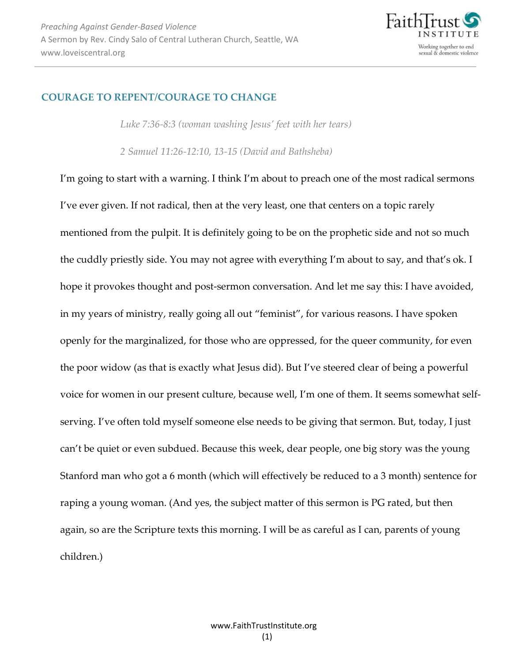

## **COURAGE TO REPENT/COURAGE TO CHANGE**

*Luke 7:36-8:3 (woman washing Jesus' feet with her tears)* 

*2 Samuel 11:26-12:10, 13-15 (David and Bathsheba)* 

I'm going to start with a warning. I think I'm about to preach one of the most radical sermons I've ever given. If not radical, then at the very least, one that centers on a topic rarely mentioned from the pulpit. It is definitely going to be on the prophetic side and not so much the cuddly priestly side. You may not agree with everything I'm about to say, and that's ok. I hope it provokes thought and post-sermon conversation. And let me say this: I have avoided, in my years of ministry, really going all out "feminist", for various reasons. I have spoken openly for the marginalized, for those who are oppressed, for the queer community, for even the poor widow (as that is exactly what Jesus did). But I've steered clear of being a powerful voice for women in our present culture, because well, I'm one of them. It seems somewhat selfserving. I've often told myself someone else needs to be giving that sermon. But, today, I just can't be quiet or even subdued. Because this week, dear people, one big story was the young Stanford man who got a 6 month (which will effectively be reduced to a 3 month) sentence for raping a young woman. (And yes, the subject matter of this sermon is PG rated, but then again, so are the Scripture texts this morning. I will be as careful as I can, parents of young children.)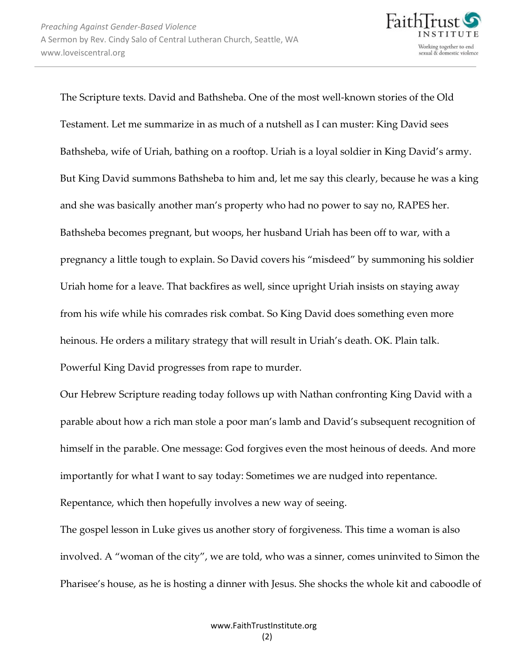

The Scripture texts. David and Bathsheba. One of the most well-known stories of the Old Testament. Let me summarize in as much of a nutshell as I can muster: King David sees Bathsheba, wife of Uriah, bathing on a rooftop. Uriah is a loyal soldier in King David's army. But King David summons Bathsheba to him and, let me say this clearly, because he was a king and she was basically another man's property who had no power to say no, RAPES her. Bathsheba becomes pregnant, but woops, her husband Uriah has been off to war, with a pregnancy a little tough to explain. So David covers his "misdeed" by summoning his soldier Uriah home for a leave. That backfires as well, since upright Uriah insists on staying away from his wife while his comrades risk combat. So King David does something even more heinous. He orders a military strategy that will result in Uriah's death. OK. Plain talk. Powerful King David progresses from rape to murder.

Our Hebrew Scripture reading today follows up with Nathan confronting King David with a parable about how a rich man stole a poor man's lamb and David's subsequent recognition of himself in the parable. One message: God forgives even the most heinous of deeds. And more importantly for what I want to say today: Sometimes we are nudged into repentance. Repentance, which then hopefully involves a new way of seeing.

The gospel lesson in Luke gives us another story of forgiveness. This time a woman is also involved. A "woman of the city", we are told, who was a sinner, comes uninvited to Simon the Pharisee's house, as he is hosting a dinner with Jesus. She shocks the whole kit and caboodle of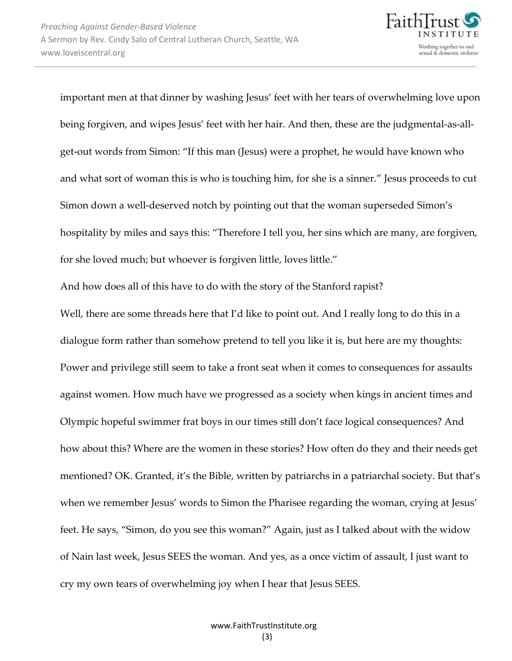

important men at that dinner by washing Jesus' feet with her tears of overwhelming love upon being forgiven, and wipes Jesus' feet with her hair. And then, these are the judgmental-as-allget-out words from Simon: "If this man (Jesus) were a prophet, he would have known who and what sort of woman this is who is touching him, for she is a sinner." Jesus proceeds to cut Simon down a well-deserved notch by pointing out that the woman superseded Simon's hospitality by miles and says this: "Therefore I tell you, her sins which are many, are forgiven, for she loved much; but whoever is forgiven little, loves little."

And how does all of this have to do with the story of the Stanford rapist?

Well, there are some threads here that I'd like to point out. And I really long to do this in a dialogue form rather than somehow pretend to tell you like it is, but here are my thoughts: Power and privilege still seem to take a front seat when it comes to consequences for assaults against women. How much have we progressed as a society when kings in ancient times and Olympic hopeful swimmer frat boys in our times still don't face logical consequences? And how about this? Where are the women in these stories? How often do they and their needs get mentioned? OK. Granted, it's the Bible, written by patriarchs in a patriarchal society. But that's when we remember Jesus' words to Simon the Pharisee regarding the woman, crying at Jesus' feet. He says, "Simon, do you see this woman?" Again, just as I talked about with the widow of Nain last week, Jesus SEES the woman. And yes, as a once victim of assault, I just want to cry my own tears of overwhelming joy when I hear that Jesus SEES.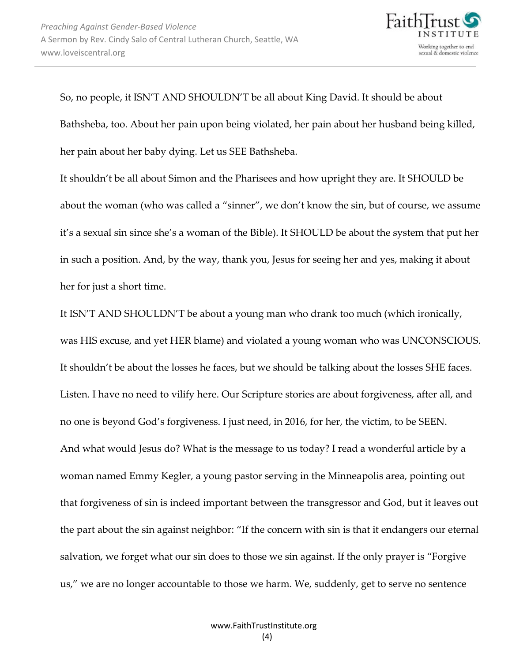

So, no people, it ISN'T AND SHOULDN'T be all about King David. It should be about Bathsheba, too. About her pain upon being violated, her pain about her husband being killed, her pain about her baby dying. Let us SEE Bathsheba.

It shouldn't be all about Simon and the Pharisees and how upright they are. It SHOULD be about the woman (who was called a "sinner", we don't know the sin, but of course, we assume it's a sexual sin since she's a woman of the Bible). It SHOULD be about the system that put her in such a position. And, by the way, thank you, Jesus for seeing her and yes, making it about her for just a short time.

It ISN'T AND SHOULDN'T be about a young man who drank too much (which ironically, was HIS excuse, and yet HER blame) and violated a young woman who was UNCONSCIOUS. It shouldn't be about the losses he faces, but we should be talking about the losses SHE faces. Listen. I have no need to vilify here. Our Scripture stories are about forgiveness, after all, and no one is beyond God's forgiveness. I just need, in 2016, for her, the victim, to be SEEN. And what would Jesus do? What is the message to us today? I read a wonderful article by a woman named Emmy Kegler, a young pastor serving in the Minneapolis area, pointing out that forgiveness of sin is indeed important between the transgressor and God, but it leaves out the part about the sin against neighbor: "If the concern with sin is that it endangers our eternal salvation, we forget what our sin does to those we sin against. If the only prayer is "Forgive us," we are no longer accountable to those we harm. We, suddenly, get to serve no sentence